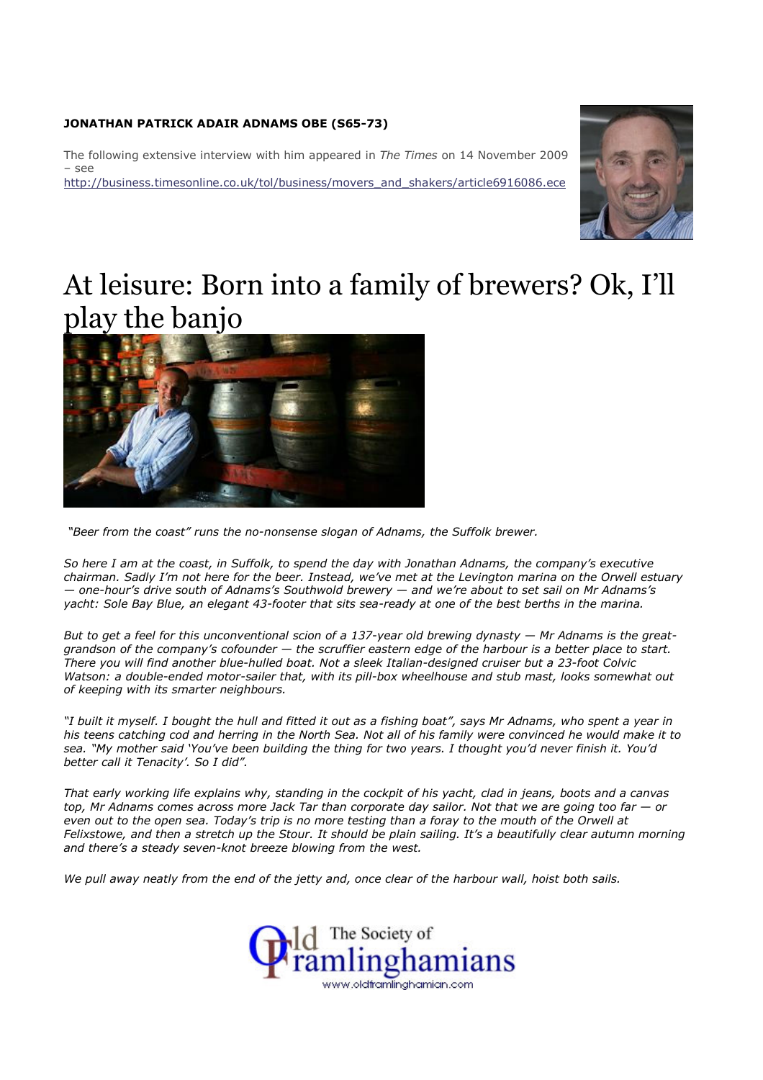## JONATHAN PATRICK ADAIR ADNAMS OBE (S65-73)

The following extensive interview with him appeared in The Times on 14 November 2009 – see http://business.timesonline.co.uk/tol/business/movers\_and\_shakers/article6916086.ece



## At leisure: Born into a family of brewers? Ok, I'll play the banjo



"Beer from the coast" runs the no-nonsense slogan of Adnams, the Suffolk brewer.

So here I am at the coast, in Suffolk, to spend the day with Jonathan Adnams, the company's executive chairman. Sadly I'm not here for the beer. Instead, we've met at the Levington marina on the Orwell estuary — one-hour's drive south of Adnams's Southwold brewery — and we're about to set sail on Mr Adnams's yacht: Sole Bay Blue, an elegant 43-footer that sits sea-ready at one of the best berths in the marina.

But to get a feel for this unconventional scion of a 137-year old brewing dynasty — Mr Adnams is the greatgrandson of the company's cofounder — the scruffier eastern edge of the harbour is a better place to start. There you will find another blue-hulled boat. Not a sleek Italian-designed cruiser but a 23-foot Colvic Watson: a double-ended motor-sailer that, with its pill-box wheelhouse and stub mast, looks somewhat out of keeping with its smarter neighbours.

"I built it myself. I bought the hull and fitted it out as a fishing boat", says Mr Adnams, who spent a year in his teens catching cod and herring in the North Sea. Not all of his family were convinced he would make it to sea. "My mother said 'You've been building the thing for two years. I thought you'd never finish it. You'd better call it Tenacity'. So I did".

That early working life explains why, standing in the cockpit of his yacht, clad in jeans, boots and a canvas top, Mr Adnams comes across more Jack Tar than corporate day sailor. Not that we are going too far — or even out to the open sea. Today's trip is no more testing than a foray to the mouth of the Orwell at Felixstowe, and then a stretch up the Stour. It should be plain sailing. It's a beautifully clear autumn morning and there's a steady seven-knot breeze blowing from the west.

We pull away neatly from the end of the jetty and, once clear of the harbour wall, hoist both sails.

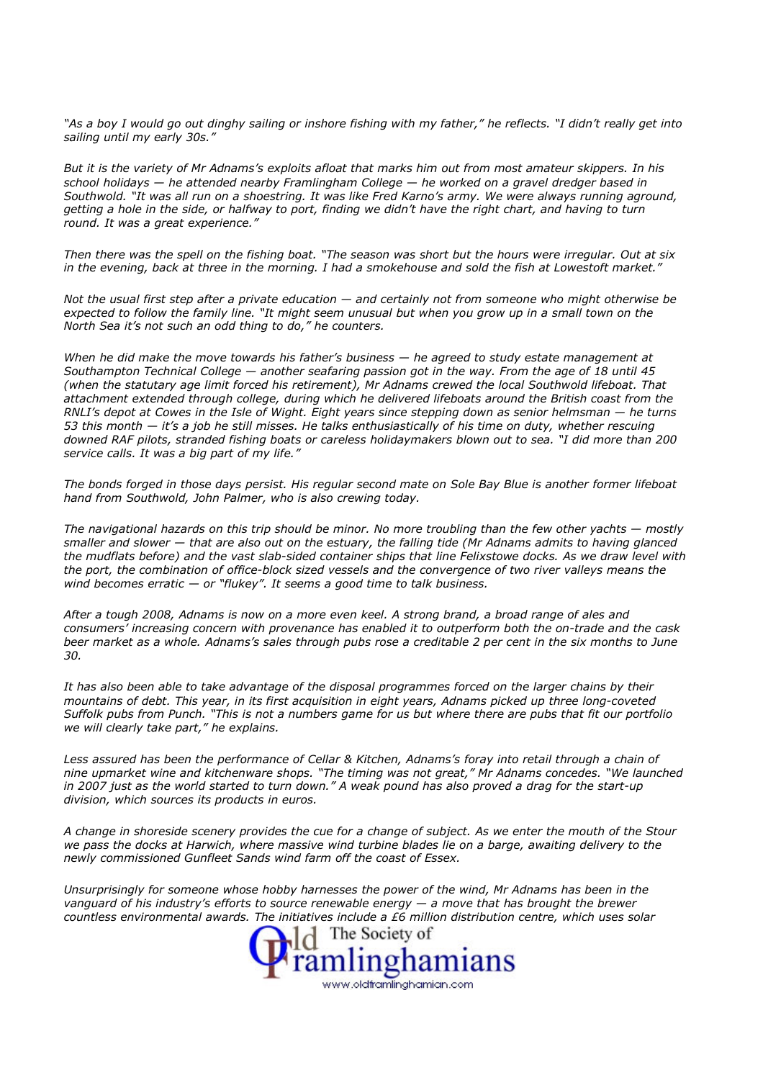"As a boy I would go out dinghy sailing or inshore fishing with my father," he reflects. "I didn't really get into sailing until my early 30s."

But it is the variety of Mr Adnams's exploits afloat that marks him out from most amateur skippers. In his school holidays — he attended nearby Framlingham College — he worked on a gravel dredger based in Southwold. "It was all run on a shoestring. It was like Fred Karno's army. We were always running aground, getting a hole in the side, or halfway to port, finding we didn't have the right chart, and having to turn round. It was a great experience."

Then there was the spell on the fishing boat. "The season was short but the hours were irregular. Out at six in the evening, back at three in the morning. I had a smokehouse and sold the fish at Lowestoft market.'

Not the usual first step after a private education — and certainly not from someone who might otherwise be expected to follow the family line. "It might seem unusual but when you grow up in a small town on the North Sea it's not such an odd thing to do," he counters.

When he did make the move towards his father's business  $-$  he agreed to study estate management at Southampton Technical College — another seafaring passion got in the way. From the age of 18 until 45 (when the statutary age limit forced his retirement), Mr Adnams crewed the local Southwold lifeboat. That attachment extended through college, during which he delivered lifeboats around the British coast from the RNLI's depot at Cowes in the Isle of Wight. Eight years since stepping down as senior helmsman — he turns 53 this month — it's a job he still misses. He talks enthusiastically of his time on duty, whether rescuing downed RAF pilots, stranded fishing boats or careless holidaymakers blown out to sea. "I did more than 200 service calls. It was a big part of my life."

The bonds forged in those days persist. His regular second mate on Sole Bay Blue is another former lifeboat hand from Southwold, John Palmer, who is also crewing today.

The navigational hazards on this trip should be minor. No more troubling than the few other yachts — mostly smaller and slower — that are also out on the estuary, the falling tide (Mr Adnams admits to having glanced the mudflats before) and the vast slab-sided container ships that line Felixstowe docks. As we draw level with the port, the combination of office-block sized vessels and the convergence of two river valleys means the wind becomes erratic  $-$  or "flukey". It seems a good time to talk business.

After a tough 2008, Adnams is now on a more even keel. A strong brand, a broad range of ales and consumers' increasing concern with provenance has enabled it to outperform both the on-trade and the cask beer market as a whole. Adnams's sales through pubs rose a creditable 2 per cent in the six months to June 30.

It has also been able to take advantage of the disposal programmes forced on the larger chains by their mountains of debt. This year, in its first acquisition in eight years, Adnams picked up three long-coveted Suffolk pubs from Punch. "This is not a numbers game for us but where there are pubs that fit our portfolio we will clearly take part," he explains.

Less assured has been the performance of Cellar & Kitchen, Adnams's foray into retail through a chain of nine upmarket wine and kitchenware shops. "The timing was not great," Mr Adnams concedes. "We launched in 2007 just as the world started to turn down." A weak pound has also proved a drag for the start-up division, which sources its products in euros.

A change in shoreside scenery provides the cue for a change of subject. As we enter the mouth of the Stour we pass the docks at Harwich, where massive wind turbine blades lie on a barge, awaiting delivery to the newly commissioned Gunfleet Sands wind farm off the coast of Essex.

Unsurprisingly for someone whose hobby harnesses the power of the wind, Mr Adnams has been in the vanguard of his industry's efforts to source renewable energy  $-$  a move that has brought the brewer countless environmental awards. The initiatives include a £6 million distribution centre, which uses solar

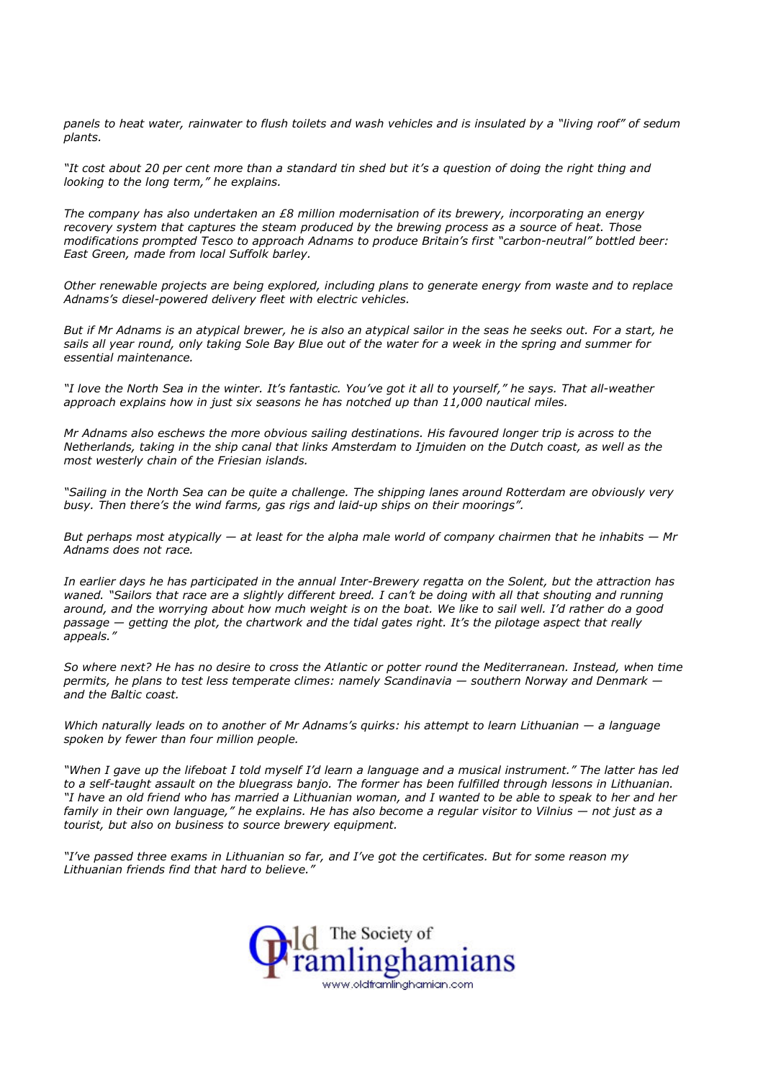panels to heat water, rainwater to flush toilets and wash vehicles and is insulated by a "living roof" of sedum plants.

"It cost about 20 per cent more than a standard tin shed but it's a question of doing the right thing and looking to the long term," he explains.

The company has also undertaken an £8 million modernisation of its brewery, incorporating an energy recovery system that captures the steam produced by the brewing process as a source of heat. Those modifications prompted Tesco to approach Adnams to produce Britain's first "carbon-neutral" bottled beer: East Green, made from local Suffolk barley.

Other renewable projects are being explored, including plans to generate energy from waste and to replace Adnams's diesel-powered delivery fleet with electric vehicles.

But if Mr Adnams is an atypical brewer, he is also an atypical sailor in the seas he seeks out. For a start, he sails all year round, only taking Sole Bay Blue out of the water for a week in the spring and summer for essential maintenance.

"I love the North Sea in the winter. It's fantastic. You've got it all to yourself," he says. That all-weather approach explains how in just six seasons he has notched up than 11,000 nautical miles.

Mr Adnams also eschews the more obvious sailing destinations. His favoured longer trip is across to the Netherlands, taking in the ship canal that links Amsterdam to Ijmuiden on the Dutch coast, as well as the most westerly chain of the Friesian islands.

"Sailing in the North Sea can be quite a challenge. The shipping lanes around Rotterdam are obviously very busy. Then there's the wind farms, gas rigs and laid-up ships on their moorings".

But perhaps most atypically  $-$  at least for the alpha male world of company chairmen that he inhabits  $-$  Mr Adnams does not race.

In earlier days he has participated in the annual Inter-Brewery regatta on the Solent, but the attraction has waned. "Sailors that race are a slightly different breed. I can't be doing with all that shouting and running around, and the worrying about how much weight is on the boat. We like to sail well. I'd rather do a good passage — getting the plot, the chartwork and the tidal gates right. It's the pilotage aspect that really appeals."

So where next? He has no desire to cross the Atlantic or potter round the Mediterranean. Instead, when time permits, he plans to test less temperate climes: namely Scandinavia — southern Norway and Denmark and the Baltic coast.

Which naturally leads on to another of Mr Adnams's quirks: his attempt to learn Lithuanian — a language spoken by fewer than four million people.

"When I gave up the lifeboat I told myself I'd learn a language and a musical instrument." The latter has led to a self-taught assault on the bluegrass banjo. The former has been fulfilled through lessons in Lithuanian. "I have an old friend who has married a Lithuanian woman, and I wanted to be able to speak to her and her family in their own language," he explains. He has also become a regular visitor to Vilnius — not just as a tourist, but also on business to source brewery equipment.

"I've passed three exams in Lithuanian so far, and I've got the certificates. But for some reason my Lithuanian friends find that hard to believe."

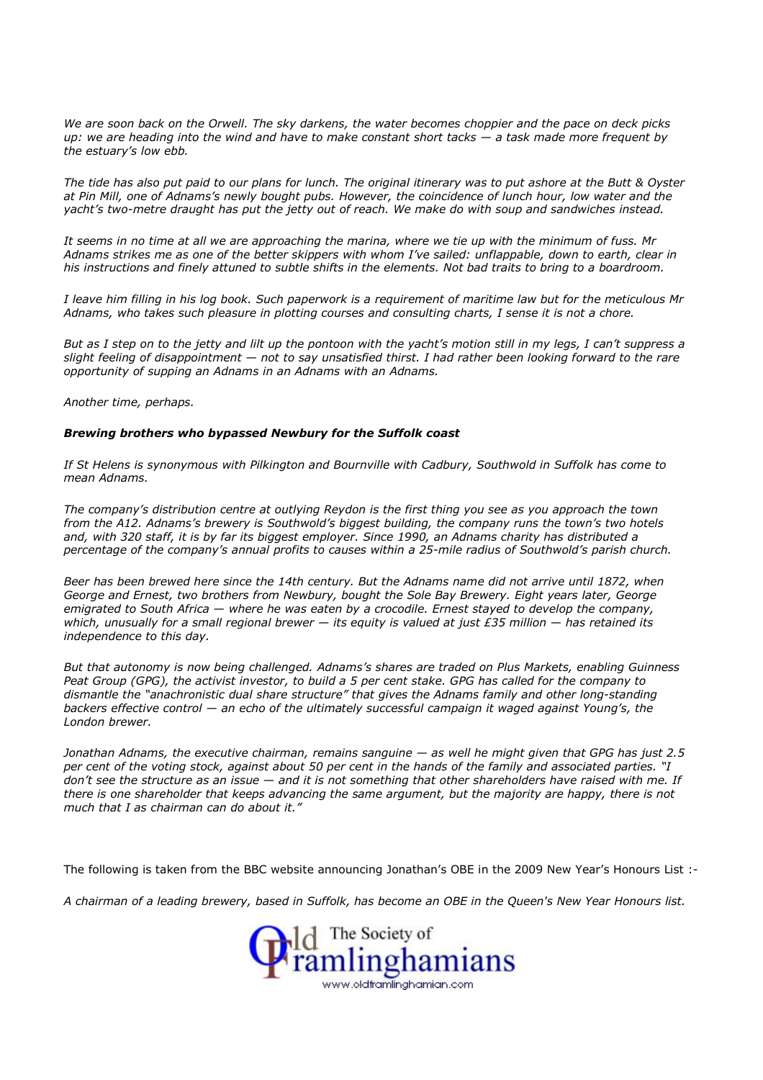We are soon back on the Orwell. The sky darkens, the water becomes choppier and the pace on deck picks up: we are heading into the wind and have to make constant short tacks — a task made more frequent by the estuary's low ebb.

The tide has also put paid to our plans for lunch. The original itinerary was to put ashore at the Butt & Oyster at Pin Mill, one of Adnams's newly bought pubs. However, the coincidence of lunch hour, low water and the yacht's two-metre draught has put the jetty out of reach. We make do with soup and sandwiches instead.

It seems in no time at all we are approaching the marina, where we tie up with the minimum of fuss. Mr Adnams strikes me as one of the better skippers with whom I've sailed: unflappable, down to earth, clear in his instructions and finely attuned to subtle shifts in the elements. Not bad traits to bring to a boardroom.

I leave him filling in his log book. Such paperwork is a requirement of maritime law but for the meticulous Mr Adnams, who takes such pleasure in plotting courses and consulting charts, I sense it is not a chore.

But as I step on to the jetty and lilt up the pontoon with the yacht's motion still in my legs, I can't suppress a slight feeling of disappointment — not to say unsatisfied thirst. I had rather been looking forward to the rare opportunity of supping an Adnams in an Adnams with an Adnams.

Another time, perhaps.

## Brewing brothers who bypassed Newbury for the Suffolk coast

If St Helens is synonymous with Pilkington and Bournville with Cadbury, Southwold in Suffolk has come to mean Adnams.

The company's distribution centre at outlying Reydon is the first thing you see as you approach the town from the A12. Adnams's brewery is Southwold's biggest building, the company runs the town's two hotels and, with 320 staff, it is by far its biggest employer. Since 1990, an Adnams charity has distributed a percentage of the company's annual profits to causes within a 25-mile radius of Southwold's parish church.

Beer has been brewed here since the 14th century. But the Adnams name did not arrive until 1872, when George and Ernest, two brothers from Newbury, bought the Sole Bay Brewery. Eight years later, George emigrated to South Africa — where he was eaten by a crocodile. Ernest stayed to develop the company, which, unusually for a small regional brewer  $-$  its equity is valued at just £35 million  $-$  has retained its independence to this day.

But that autonomy is now being challenged. Adnams's shares are traded on Plus Markets, enabling Guinness Peat Group (GPG), the activist investor, to build a 5 per cent stake. GPG has called for the company to dismantle the "anachronistic dual share structure" that gives the Adnams family and other long-standing backers effective control — an echo of the ultimately successful campaign it waged against Young's, the London brewer.

Jonathan Adnams, the executive chairman, remains sanguine — as well he might given that GPG has just 2.5 per cent of the voting stock, against about 50 per cent in the hands of the family and associated parties. "I don't see the structure as an issue — and it is not something that other shareholders have raised with me. If there is one shareholder that keeps advancing the same argument, but the majority are happy, there is not much that I as chairman can do about it."

The following is taken from the BBC website announcing Jonathan's OBE in the 2009 New Year's Honours List :-

A chairman of a leading brewery, based in Suffolk, has become an OBE in the Queen's New Year Honours list.